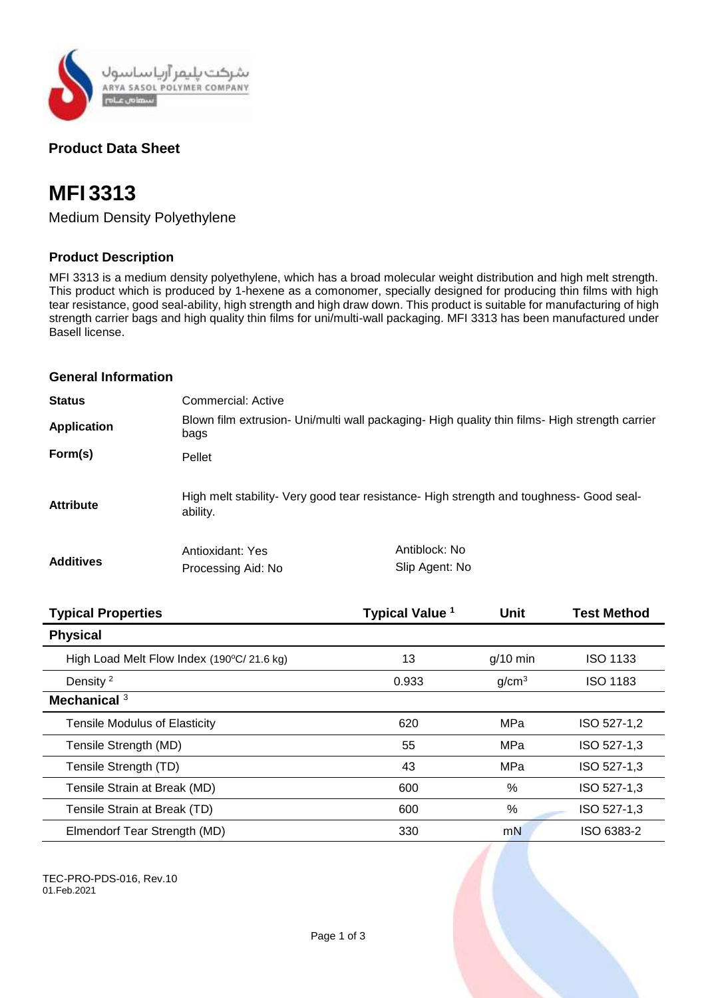

# **Product Data Sheet**

# **MFI 3313**

Medium Density Polyethylene

# **Product Description**

MFI 3313 is a medium density polyethylene, which has a broad molecular weight distribution and high melt strength. This product which is produced by 1-hexene as a comonomer, specially designed for producing thin films with high tear resistance, good seal-ability, high strength and high draw down. This product is suitable for manufacturing of high strength carrier bags and high quality thin films for uni/multi-wall packaging. MFI 3313 has been manufactured under Basell license.

## **General Information**

| <b>Status</b>      | Commercial: Active                                                                                     |                |  |
|--------------------|--------------------------------------------------------------------------------------------------------|----------------|--|
| <b>Application</b> | Blown film extrusion- Uni/multi wall packaging- High quality thin films- High strength carrier<br>bags |                |  |
| Form(s)            | Pellet                                                                                                 |                |  |
| <b>Attribute</b>   | High melt stability- Very good tear resistance- High strength and toughness- Good seal-<br>ability.    |                |  |
| <b>Additives</b>   | Antioxidant: Yes                                                                                       | Antiblock: No  |  |
|                    | Processing Aid: No                                                                                     | Slip Agent: No |  |

| <b>Typical Properties</b>                                   | Typical Value <sup>1</sup> | <b>Unit</b>       | <b>Test Method</b> |
|-------------------------------------------------------------|----------------------------|-------------------|--------------------|
| <b>Physical</b>                                             |                            |                   |                    |
| High Load Melt Flow Index $(190\degree C/ 21.6 \text{ kg})$ | 13                         | $q/10$ min        | <b>ISO 1133</b>    |
| Density <sup>2</sup>                                        | 0.933                      | g/cm <sup>3</sup> | <b>ISO 1183</b>    |
| Mechanical <sup>3</sup>                                     |                            |                   |                    |
| <b>Tensile Modulus of Elasticity</b>                        | 620                        | MPa               | ISO 527-1,2        |
| Tensile Strength (MD)                                       | 55                         | MPa               | ISO 527-1,3        |
| Tensile Strength (TD)                                       | 43                         | MPa               | ISO 527-1,3        |
| Tensile Strain at Break (MD)                                | 600                        | %                 | ISO 527-1,3        |
| Tensile Strain at Break (TD)                                | 600                        | %                 | ISO 527-1.3        |
| Elmendorf Tear Strength (MD)                                | 330                        | mN                | ISO 6383-2         |

TEC-PRO-PDS-016, Rev.10 01.Feb.2021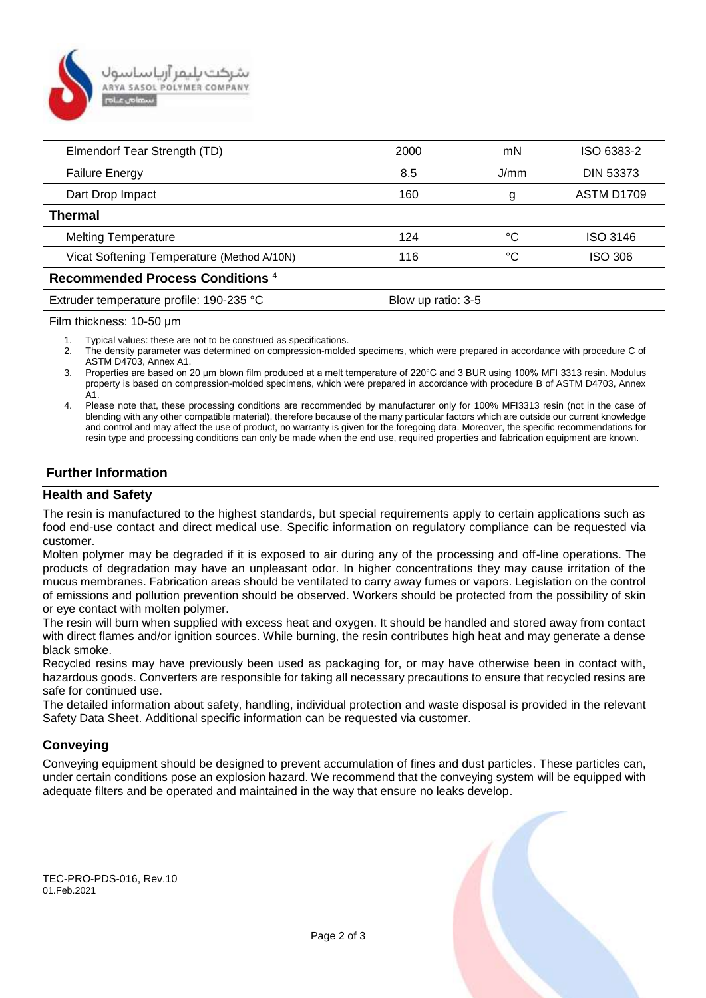

| Elmendorf Tear Strength (TD)                | 2000               | mN   | ISO 6383-2       |  |
|---------------------------------------------|--------------------|------|------------------|--|
| <b>Failure Energy</b>                       | 8.5                | J/mm | <b>DIN 53373</b> |  |
| Dart Drop Impact                            | 160                | g    | ASTM D1709       |  |
| Thermal                                     |                    |      |                  |  |
| <b>Melting Temperature</b>                  | 124                | °C   | <b>ISO 3146</b>  |  |
| Vicat Softening Temperature (Method A/10N)  | 116                | °C   | <b>ISO 306</b>   |  |
| Recommended Process Conditions <sup>4</sup> |                    |      |                  |  |
| Extruder temperature profile: 190-235 °C    | Blow up ratio: 3-5 |      |                  |  |
|                                             |                    |      |                  |  |

Film thickness: 10-50 μm

1. Typical values: these are not to be construed as specifications.

2. The density parameter was determined on compression-molded specimens, which were prepared in accordance with procedure C of ASTM D4703, Annex A1.

3. Properties are based on 20 μm blown film produced at a melt temperature of 220°C and 3 BUR using 100% MFI 3313 resin. Modulus property is based on compression-molded specimens, which were prepared in accordance with procedure B of ASTM D4703, Annex A1.

4. Please note that, these processing conditions are recommended by manufacturer only for 100% MFI3313 resin (not in the case of blending with any other compatible material), therefore because of the many particular factors which are outside our current knowledge and control and may affect the use of product, no warranty is given for the foregoing data. Moreover, the specific recommendations for resin type and processing conditions can only be made when the end use, required properties and fabrication equipment are known.

# **Further Information**

#### **Health and Safety**

The resin is manufactured to the highest standards, but special requirements apply to certain applications such as food end-use contact and direct medical use. Specific information on regulatory compliance can be requested via customer.

Molten polymer may be degraded if it is exposed to air during any of the processing and off-line operations. The products of degradation may have an unpleasant odor. In higher concentrations they may cause irritation of the mucus membranes. Fabrication areas should be ventilated to carry away fumes or vapors. Legislation on the control of emissions and pollution prevention should be observed. Workers should be protected from the possibility of skin or eye contact with molten polymer.

The resin will burn when supplied with excess heat and oxygen. It should be handled and stored away from contact with direct flames and/or ignition sources. While burning, the resin contributes high heat and may generate a dense black smoke.

Recycled resins may have previously been used as packaging for, or may have otherwise been in contact with, hazardous goods. Converters are responsible for taking all necessary precautions to ensure that recycled resins are safe for continued use.

The detailed information about safety, handling, individual protection and waste disposal is provided in the relevant Safety Data Sheet. Additional specific information can be requested via customer.

#### **Conveying**

Conveying equipment should be designed to prevent accumulation of fines and dust particles. These particles can, under certain conditions pose an explosion hazard. We recommend that the conveying system will be equipped with adequate filters and be operated and maintained in the way that ensure no leaks develop.

TEC-PRO-PDS-016, Rev.10 01.Feb.2021